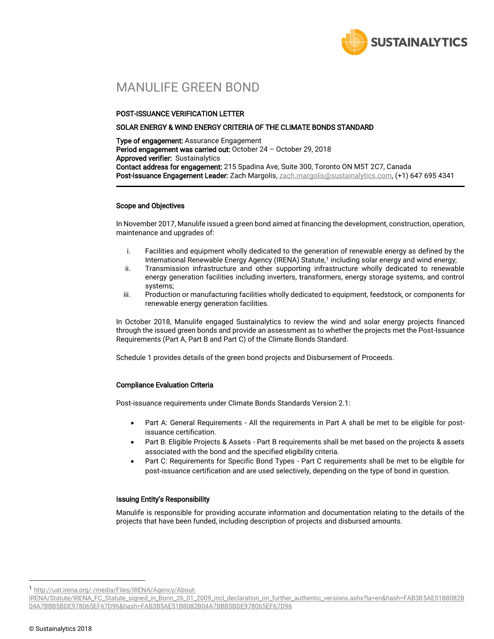

## MANULIFE GREEN BOND

#### POST-ISSUANCE VERIFICATION LETTER

#### SOLAR ENERGY & WIND ENERGY CRITERIA OF THE CLIMATE BONDS STANDARD

Type of engagement: Assurance Engagement Period engagement was carried out: October 24 - October 29, 2018 Approved verifier: Sustainalytics Contact address for engagement: 215 Spadina Ave, Suite 300, Toronto ON M5T 2C7, Canada Post-Issuance Engagement Leader: Zach Margolis[, zach.margolis@sustainalytics.com,](mailto:vikram.puppala@sustainalytics.com) (+1) 647 695 4341

#### Scope and Objectives

In November 2017, Manulife issued a green bond aimed at financing the development, construction, operation, maintenance and upgrades of:

- i. Facilities and equipment wholly dedicated to the generation of renewable energy as defined by the International Renewable Energy Agency (IRENA) Statute,<sup>1</sup> including solar energy and wind energy;
- ii. Transmission infrastructure and other supporting infrastructure wholly dedicated to renewable energy generation facilities including inverters, transformers, energy storage systems, and control systems;
- iii. Production or manufacturing facilities wholly dedicated to equipment, feedstock, or components for renewable energy generation facilities.

In October 2018, Manulife engaged Sustainalytics to review the wind and solar energy projects financed through the issued green bonds and provide an assessment as to whether the projects met the Post-Issuance Requirements (Part A, Part B and Part C) of the Climate Bonds Standard.

Schedule 1 provides details of the green bond projects and Disbursement of Proceeds.

### Compliance Evaluation Criteria

Post-issuance requirements under Climate Bonds Standards Version 2.1:

- Part A: General Requirements All the requirements in Part A shall be met to be eligible for postissuance certification.
- Part B: Eligible Projects & Assets Part B requirements shall be met based on the projects & assets associated with the bond and the specified eligibility criteria.
- Part C: Requirements for Specific Bond Types Part C requirements shall be met to be eligible for post-issuance certification and are used selectively, depending on the type of bond in question.

#### Issuing Entity's Responsibility

Manulife is responsible for providing accurate information and documentation relating to the details of the projects that have been funded, including description of projects and disbursed amounts.

1 http://uat.irena.org/-/media/Files/IRENA/Agency/About-

 $\overline{a}$ 

IRENA/Statute/IRENA\_FC\_Statute\_signed\_in\_Bonn\_26\_01\_2009\_incl\_declaration\_on\_further\_authentic\_versions.ashx?la=en&hash=FAB3B5AE51B8082B 04A7BBB5BDE978065EF67D96&hash=FAB3B5AE51B8082B04A7BBB5BDE978065EF67D96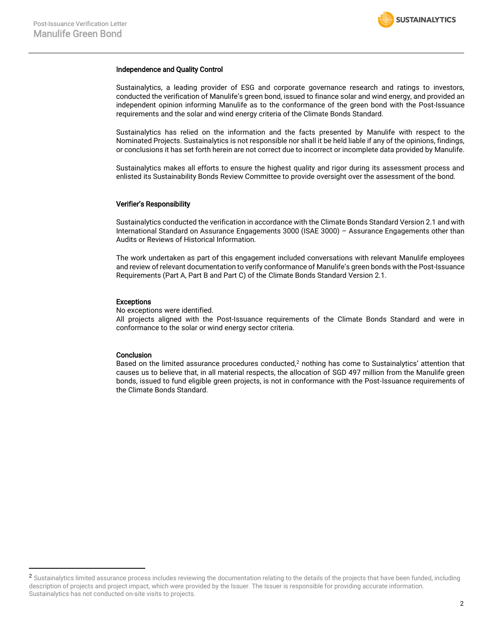#### Independence and Quality Control

Sustainalytics, a leading provider of ESG and corporate governance research and ratings to investors, conducted the verification of Manulife's green bond, issued to finance solar and wind energy, and provided an independent opinion informing Manulife as to the conformance of the green bond with the Post-Issuance requirements and the solar and wind energy criteria of the Climate Bonds Standard.

Sustainalytics has relied on the information and the facts presented by Manulife with respect to the Nominated Projects. Sustainalytics is not responsible nor shall it be held liable if any of the opinions, findings, or conclusions it has set forth herein are not correct due to incorrect or incomplete data provided by Manulife.

Sustainalytics makes all efforts to ensure the highest quality and rigor during its assessment process and enlisted its Sustainability Bonds Review Committee to provide oversight over the assessment of the bond.

#### Verifier's Responsibility

Sustainalytics conducted the verification in accordance with the Climate Bonds Standard Version 2.1 and with International Standard on Assurance Engagements 3000 (ISAE 3000) – Assurance Engagements other than Audits or Reviews of Historical Information.

The work undertaken as part of this engagement included conversations with relevant Manulife employees and review of relevant documentation to verify conformance of Manulife's green bonds with the Post-Issuance Requirements (Part A, Part B and Part C) of the Climate Bonds Standard Version 2.1.

#### Exceptions

No exceptions were identified.

All projects aligned with the Post-Issuance requirements of the Climate Bonds Standard and were in conformance to the solar or wind energy sector criteria.

#### **Conclusion**

 $\overline{a}$ 

Based on the limited assurance procedures conducted,<sup>2</sup> nothing has come to Sustainalytics' attention that causes us to believe that, in all material respects, the allocation of SGD 497 million from the Manulife green bonds, issued to fund eligible green projects, is not in conformance with the Post-Issuance requirements of the Climate Bonds Standard.

<sup>&</sup>lt;sup>2</sup> Sustainalytics limited assurance process includes reviewing the documentation relating to the details of the projects that have been funded, including description of projects and project impact, which were provided by the Issuer. The Issuer is responsible for providing accurate information. Sustainalytics has not conducted on-site visits to projects.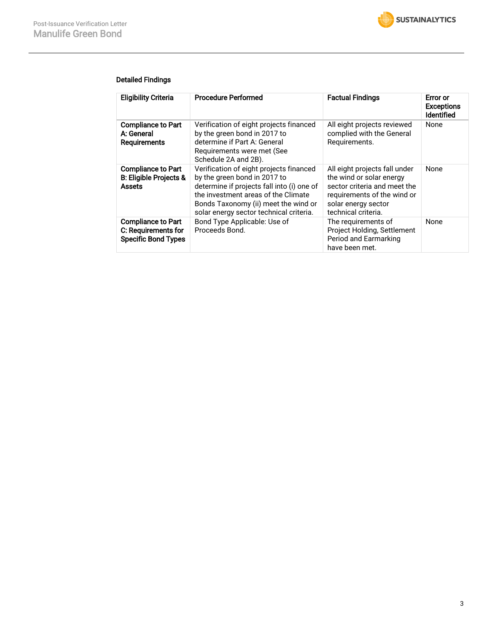

### Detailed Findings

| <b>Eligibility Criteria</b>                                                    | <b>Procedure Performed</b>                                                                                                                                                                                                                      | <b>Factual Findings</b>                                                                                                                                                | Error or<br><b>Exceptions</b><br>Identified |
|--------------------------------------------------------------------------------|-------------------------------------------------------------------------------------------------------------------------------------------------------------------------------------------------------------------------------------------------|------------------------------------------------------------------------------------------------------------------------------------------------------------------------|---------------------------------------------|
| <b>Compliance to Part</b><br>A: General<br><b>Requirements</b>                 | Verification of eight projects financed<br>by the green bond in 2017 to<br>determine if Part A: General<br>Requirements were met (See<br>Schedule 2A and 2B).                                                                                   | All eight projects reviewed<br>complied with the General<br>Requirements.                                                                                              | None                                        |
| <b>Compliance to Part</b><br><b>B: Eligible Projects &amp;</b><br>Assets       | Verification of eight projects financed<br>by the green bond in 2017 to<br>determine if projects fall into (i) one of<br>the investment areas of the Climate<br>Bonds Taxonomy (ii) meet the wind or<br>solar energy sector technical criteria. | All eight projects fall under<br>the wind or solar energy<br>sector criteria and meet the<br>requirements of the wind or<br>solar energy sector<br>technical criteria. | None                                        |
| <b>Compliance to Part</b><br>C: Requirements for<br><b>Specific Bond Types</b> | Bond Type Applicable: Use of<br>Proceeds Bond.                                                                                                                                                                                                  | The requirements of<br>Project Holding, Settlement<br>Period and Earmarking<br>have been met.                                                                          | None                                        |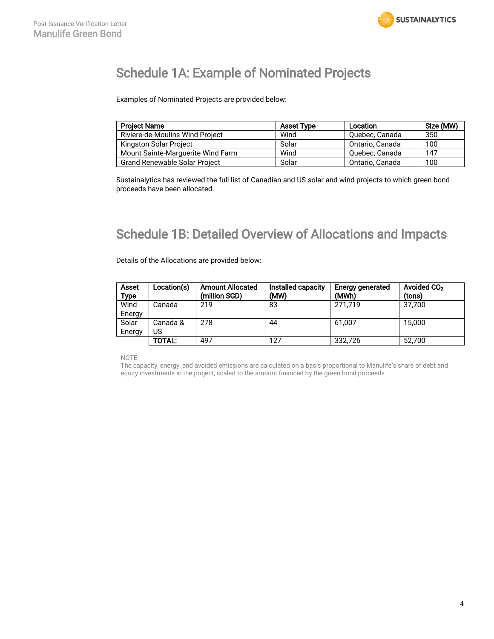

## Schedule 1A: Example of Nominated Projects

Examples of Nominated Projects are provided below:

| <b>Project Name</b>                  | <b>Asset Type</b> | Location        | Size (MW) |
|--------------------------------------|-------------------|-----------------|-----------|
| Riviere-de-Moulins Wind Project      | Wind              | Quebec, Canada  | 350       |
| Kingston Solar Project               | Solar             | Ontario, Canada | 100       |
| Mount Sainte-Marguerite Wind Farm    | Wind              | Quebec, Canada  | 147       |
| <b>Grand Renewable Solar Project</b> | Solar             | Ontario, Canada | 100       |

Sustainalytics has reviewed the full list of Canadian and US solar and wind projects to which green bond proceeds have been allocated.

# Schedule 1B: Detailed Overview of Allocations and Impacts

Details of the Allocations are provided below:

| <b>Asset</b><br>Type | Location(s) | <b>Amount Allocated</b><br>(million SGD) | Installed capacity<br>(MW) | Energy generated<br>(MWh) | Avoided CO <sub>2</sub><br>(tons) |
|----------------------|-------------|------------------------------------------|----------------------------|---------------------------|-----------------------------------|
| Wind                 | Canada      | 219                                      | 83                         | 271.719                   | 37.700                            |
| Energy               |             |                                          |                            |                           |                                   |
| Solar                | Canada &    | 278                                      | 44                         | 61.007                    | 15.000                            |
| Energy               | US          |                                          |                            |                           |                                   |
|                      | TOTAL:      | 497                                      | 127                        | 332.726                   | 52.700                            |

NOTE:

The capacity, energy, and avoided emissions are calculated on a basis proportional to Manulife's share of debt and equity investments in the project, scaled to the amount financed by the green bond proceeds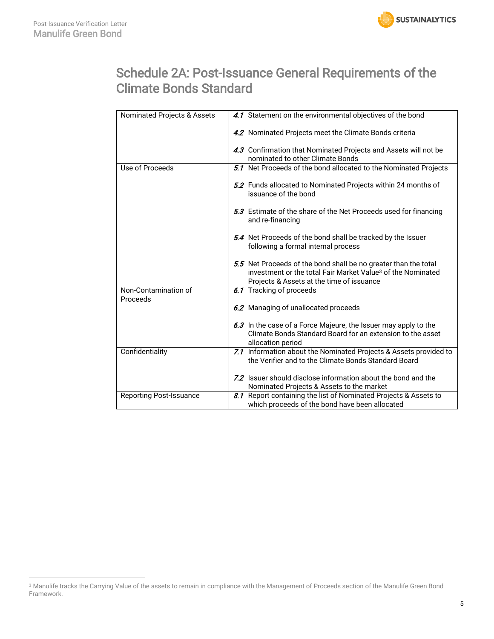$\overline{a}$ 



# Schedule 2A: Post-Issuance General Requirements of the Climate Bonds Standard

| Nominated Projects & Assets    | 4.1 Statement on the environmental objectives of the bond                                                                                                                               |
|--------------------------------|-----------------------------------------------------------------------------------------------------------------------------------------------------------------------------------------|
|                                | 4.2 Nominated Projects meet the Climate Bonds criteria                                                                                                                                  |
|                                | 4.3 Confirmation that Nominated Projects and Assets will not be<br>nominated to other Climate Bonds                                                                                     |
| Use of Proceeds                | 5.1 Net Proceeds of the bond allocated to the Nominated Projects                                                                                                                        |
|                                | 5.2 Funds allocated to Nominated Projects within 24 months of<br>issuance of the bond                                                                                                   |
|                                | 5.3 Estimate of the share of the Net Proceeds used for financing<br>and re-financing                                                                                                    |
|                                | 5.4 Net Proceeds of the bond shall be tracked by the Issuer<br>following a formal internal process                                                                                      |
|                                | 5.5 Net Proceeds of the bond shall be no greater than the total<br>investment or the total Fair Market Value <sup>3</sup> of the Nominated<br>Projects & Assets at the time of issuance |
| Non-Contamination of           | 6.1 Tracking of proceeds                                                                                                                                                                |
| Proceeds                       | 6.2 Managing of unallocated proceeds                                                                                                                                                    |
|                                | 6.3 In the case of a Force Majeure, the Issuer may apply to the<br>Climate Bonds Standard Board for an extension to the asset<br>allocation period                                      |
| Confidentiality                | 7.1 Information about the Nominated Projects & Assets provided to<br>the Verifier and to the Climate Bonds Standard Board                                                               |
|                                | 7.2 Issuer should disclose information about the bond and the<br>Nominated Projects & Assets to the market                                                                              |
| <b>Reporting Post-Issuance</b> | 8.1 Report containing the list of Nominated Projects & Assets to<br>which proceeds of the bond have been allocated                                                                      |

<sup>&</sup>lt;sup>3</sup> Manulife tracks the Carrying Value of the assets to remain in compliance with the Management of Proceeds section of the Manulife Green Bond Framework.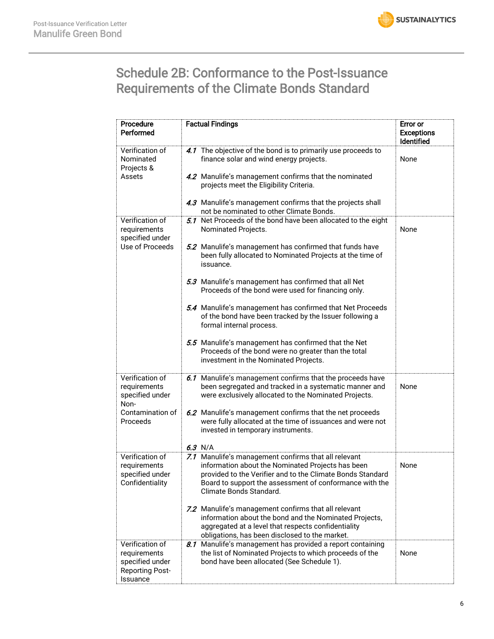

# Schedule 2B: Conformance to the Post-Issuance Requirements of the Climate Bonds Standard

| Procedure<br>Performed                                                                     | <b>Factual Findings</b>                                                                                                                                                                                                                                                                                                                                                                                                                                                                                                                                                                                                                             | Error or<br><b>Exceptions</b><br>Identified |
|--------------------------------------------------------------------------------------------|-----------------------------------------------------------------------------------------------------------------------------------------------------------------------------------------------------------------------------------------------------------------------------------------------------------------------------------------------------------------------------------------------------------------------------------------------------------------------------------------------------------------------------------------------------------------------------------------------------------------------------------------------------|---------------------------------------------|
| Verification of<br>Nominated<br>Projects &<br>Assets                                       | 4.1 The objective of the bond is to primarily use proceeds to<br>finance solar and wind energy projects.<br>4.2 Manulife's management confirms that the nominated<br>projects meet the Eligibility Criteria.<br>4.3 Manulife's management confirms that the projects shall<br>not be nominated to other Climate Bonds.                                                                                                                                                                                                                                                                                                                              | None                                        |
| Verification of<br>requirements<br>specified under<br>Use of Proceeds                      | 5.1 Net Proceeds of the bond have been allocated to the eight<br>Nominated Projects.<br>5.2 Manulife's management has confirmed that funds have<br>been fully allocated to Nominated Projects at the time of<br>issuance.<br>5.3 Manulife's management has confirmed that all Net<br>Proceeds of the bond were used for financing only.<br>5.4 Manulife's management has confirmed that Net Proceeds<br>of the bond have been tracked by the Issuer following a<br>formal internal process.<br>5.5 Manulife's management has confirmed that the Net<br>Proceeds of the bond were no greater than the total<br>investment in the Nominated Projects. | None                                        |
| Verification of<br>requirements<br>specified under<br>Non-<br>Contamination of<br>Proceeds | 6.1 Manulife's management confirms that the proceeds have<br>been segregated and tracked in a systematic manner and<br>were exclusively allocated to the Nominated Projects.<br>6.2 Manulife's management confirms that the net proceeds<br>were fully allocated at the time of issuances and were not<br>invested in temporary instruments.<br>$6.3$ N/A                                                                                                                                                                                                                                                                                           | None                                        |
| Verification of<br>requirements<br>specified under<br>Confidentiality                      | 7.1 Manulife's management confirms that all relevant<br>information about the Nominated Projects has been<br>provided to the Verifier and to the Climate Bonds Standard<br>Board to support the assessment of conformance with the<br>Climate Bonds Standard.<br>7.2 Manulife's management confirms that all relevant<br>information about the bond and the Nominated Projects,<br>aggregated at a level that respects confidentiality<br>obligations, has been disclosed to the market.                                                                                                                                                            | None                                        |
| Verification of<br>requirements<br>specified under<br><b>Reporting Post-</b><br>Issuance   | 8.1 Manulife's management has provided a report containing<br>the list of Nominated Projects to which proceeds of the<br>bond have been allocated (See Schedule 1).                                                                                                                                                                                                                                                                                                                                                                                                                                                                                 | None                                        |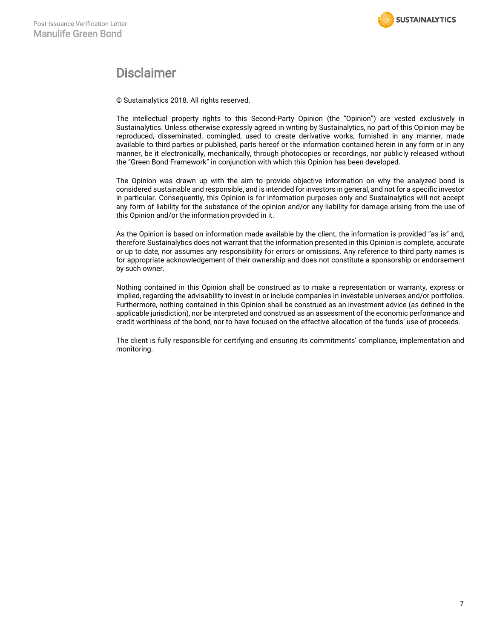

### **Disclaimer**

© Sustainalytics 2018. All rights reserved.

The intellectual property rights to this Second-Party Opinion (the "Opinion") are vested exclusively in Sustainalytics. Unless otherwise expressly agreed in writing by Sustainalytics, no part of this Opinion may be reproduced, disseminated, comingled, used to create derivative works, furnished in any manner, made available to third parties or published, parts hereof or the information contained herein in any form or in any manner, be it electronically, mechanically, through photocopies or recordings, nor publicly released without the "Green Bond Framework" in conjunction with which this Opinion has been developed.

The Opinion was drawn up with the aim to provide objective information on why the analyzed bond is considered sustainable and responsible, and is intended for investors in general, and not for a specific investor in particular. Consequently, this Opinion is for information purposes only and Sustainalytics will not accept any form of liability for the substance of the opinion and/or any liability for damage arising from the use of this Opinion and/or the information provided in it.

As the Opinion is based on information made available by the client, the information is provided "as is" and, therefore Sustainalytics does not warrant that the information presented in this Opinion is complete, accurate or up to date, nor assumes any responsibility for errors or omissions. Any reference to third party names is for appropriate acknowledgement of their ownership and does not constitute a sponsorship or endorsement by such owner.

Nothing contained in this Opinion shall be construed as to make a representation or warranty, express or implied, regarding the advisability to invest in or include companies in investable universes and/or portfolios. Furthermore, nothing contained in this Opinion shall be construed as an investment advice (as defined in the applicable jurisdiction), nor be interpreted and construed as an assessment of the economic performance and credit worthiness of the bond, nor to have focused on the effective allocation of the funds' use of proceeds.

The client is fully responsible for certifying and ensuring its commitments' compliance, implementation and monitoring.